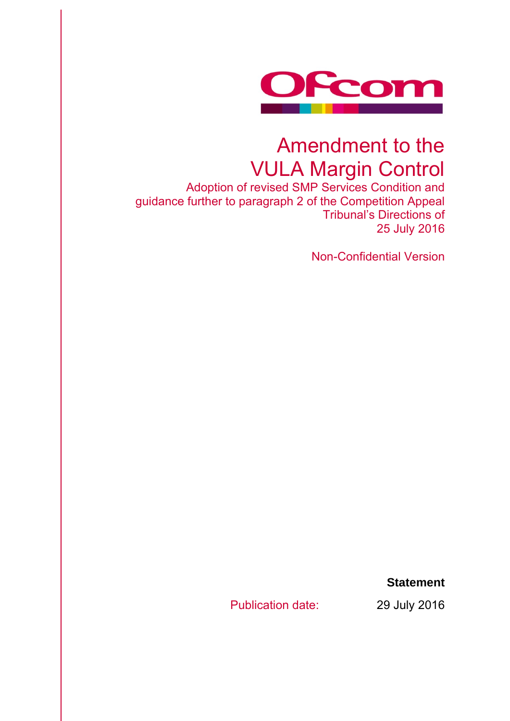

# Amendment to the VULA Margin Control

Adoption of revised SMP Services Condition and guidance further to paragraph 2 of the Competition Appeal Tribunal's Directions of 25 July 2016

Non-Confidential Version

**Statement** 

Publication date: 29 July 2016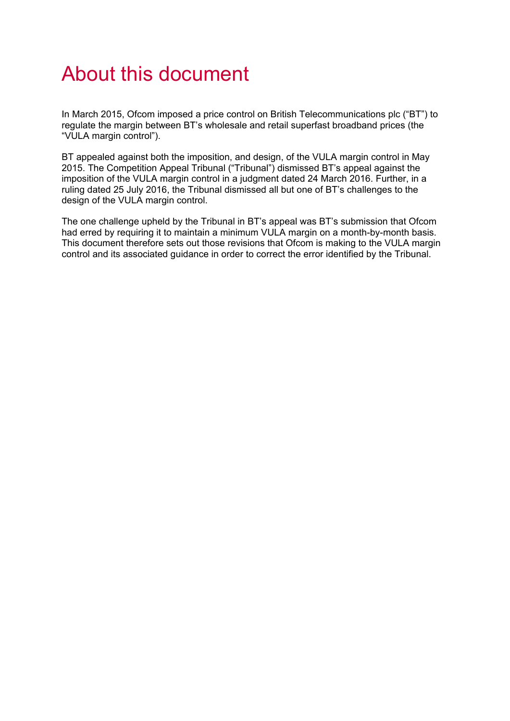# About this document

In March 2015, Ofcom imposed a price control on British Telecommunications plc ("BT") to regulate the margin between BT's wholesale and retail superfast broadband prices (the "VULA margin control").

BT appealed against both the imposition, and design, of the VULA margin control in May 2015. The Competition Appeal Tribunal ("Tribunal") dismissed BT's appeal against the imposition of the VULA margin control in a judgment dated 24 March 2016. Further, in a ruling dated 25 July 2016, the Tribunal dismissed all but one of BT's challenges to the design of the VULA margin control.

The one challenge upheld by the Tribunal in BT's appeal was BT's submission that Ofcom had erred by requiring it to maintain a minimum VULA margin on a month-by-month basis. This document therefore sets out those revisions that Ofcom is making to the VULA margin control and its associated guidance in order to correct the error identified by the Tribunal.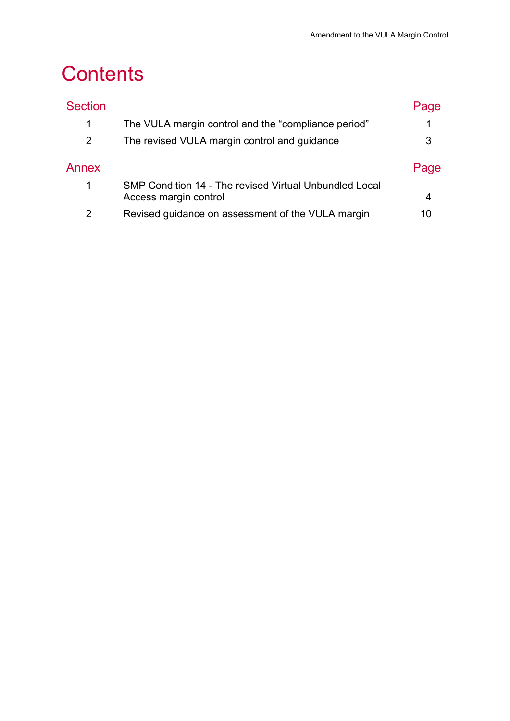# **Contents**

| <b>Section</b> |                                                                                 | Page |
|----------------|---------------------------------------------------------------------------------|------|
| 1              | The VULA margin control and the "compliance period"                             | 1    |
| 2              | The revised VULA margin control and guidance                                    | 3    |
| Annex          |                                                                                 | Page |
| 1              | SMP Condition 14 - The revised Virtual Unbundled Local<br>Access margin control | 4    |
| 2              | Revised guidance on assessment of the VULA margin                               | 10   |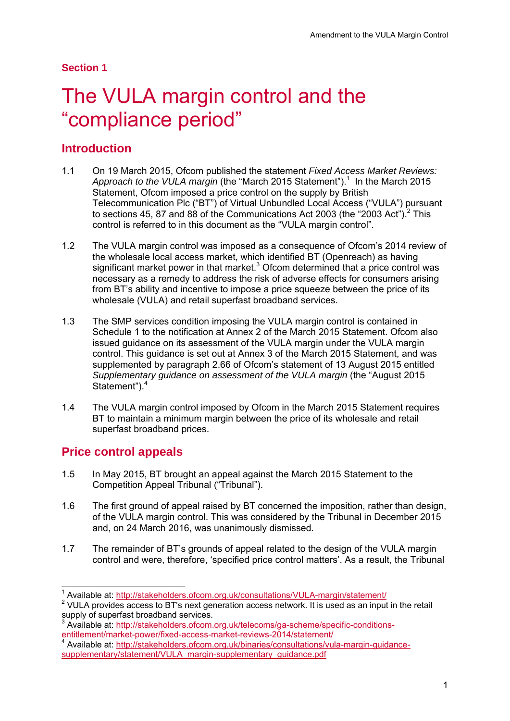## **Section 1**

# The VULA margin control and the "compliance period"

# **Introduction**

- 1.1 On 19 March 2015, Ofcom published the statement *Fixed Access Market Reviews:*  Approach to the VULA margin (the "March 2015 Statement").<sup>1</sup> In the March 2015 Statement, Ofcom imposed a price control on the supply by British Telecommunication Plc ("BT") of Virtual Unbundled Local Access ("VULA") pursuant to sections 45, 87 and 88 of the Communications Act 2003 (the "2003 Act").<sup>2</sup> This control is referred to in this document as the "VULA margin control".
- 1.2 The VULA margin control was imposed as a consequence of Ofcom's 2014 review of the wholesale local access market, which identified BT (Openreach) as having significant market power in that market. $3$  Ofcom determined that a price control was necessary as a remedy to address the risk of adverse effects for consumers arising from BT's ability and incentive to impose a price squeeze between the price of its wholesale (VULA) and retail superfast broadband services.
- 1.3 The SMP services condition imposing the VULA margin control is contained in Schedule 1 to the notification at Annex 2 of the March 2015 Statement. Ofcom also issued guidance on its assessment of the VULA margin under the VULA margin control. This guidance is set out at Annex 3 of the March 2015 Statement, and was supplemented by paragraph 2.66 of Ofcom's statement of 13 August 2015 entitled *Supplementary guidance on assessment of the VULA margin* (the "August 2015 Statement").<sup>4</sup>
- 1.4 The VULA margin control imposed by Ofcom in the March 2015 Statement requires BT to maintain a minimum margin between the price of its wholesale and retail superfast broadband prices.

# **Price control appeals**

 $\overline{a}$ 

- 1.5 In May 2015, BT brought an appeal against the March 2015 Statement to the Competition Appeal Tribunal ("Tribunal").
- 1.6 The first ground of appeal raised by BT concerned the imposition, rather than design, of the VULA margin control. This was considered by the Tribunal in December 2015 and, on 24 March 2016, was unanimously dismissed.
- 1.7 The remainder of BT's grounds of appeal related to the design of the VULA margin control and were, therefore, 'specified price control matters'. As a result, the Tribunal

<sup>1</sup> Available at: http://stakeholders.ofcom.org.uk/consultations/VULA-margin/statement/ 2

<sup>&</sup>lt;sup>2</sup> VULA provides access to BT's next generation access network. It is used as an input in the retail supply of superfast broadband services.

<sup>3</sup> <sup>3</sup> Available at: http://stakeholders.ofcom.org.uk/telecoms/ga-scheme/specific-conditions-<br>entitlement/market-power/fixed-access-market-reviews-2014/statement/ entitlement/market-power/fixed-access-market-reviews-2014/statement/<br><sup>4</sup> Available at: <u>http://stakeholders.ofcom.org.uk/binaries/consultations/vula-margin-guidance-</u>

supplementary/statement/VULA\_margin-supplementary\_guidance.pdf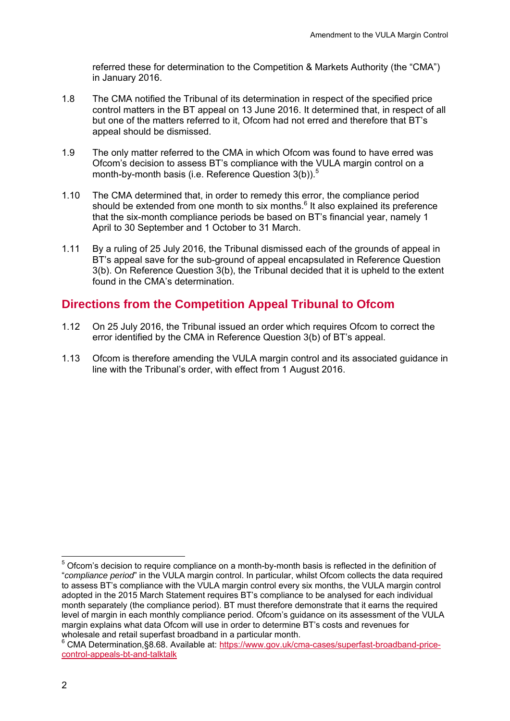referred these for determination to the Competition & Markets Authority (the "CMA") in January 2016.

- 1.8 The CMA notified the Tribunal of its determination in respect of the specified price control matters in the BT appeal on 13 June 2016. It determined that, in respect of all but one of the matters referred to it, Ofcom had not erred and therefore that BT's appeal should be dismissed.
- 1.9 The only matter referred to the CMA in which Ofcom was found to have erred was Ofcom's decision to assess BT's compliance with the VULA margin control on a month-by-month basis (i.e. Reference Question  $3(b)$ ).<sup>5</sup>
- 1.10 The CMA determined that, in order to remedy this error, the compliance period should be extended from one month to six months. $<sup>6</sup>$  It also explained its preference</sup> that the six-month compliance periods be based on BT's financial year, namely 1 April to 30 September and 1 October to 31 March.
- 1.11 By a ruling of 25 July 2016, the Tribunal dismissed each of the grounds of appeal in BT's appeal save for the sub-ground of appeal encapsulated in Reference Question 3(b). On Reference Question 3(b), the Tribunal decided that it is upheld to the extent found in the CMA's determination.

# **Directions from the Competition Appeal Tribunal to Ofcom**

- 1.12 On 25 July 2016, the Tribunal issued an order which requires Ofcom to correct the error identified by the CMA in Reference Question 3(b) of BT's appeal.
- 1.13 Ofcom is therefore amending the VULA margin control and its associated guidance in line with the Tribunal's order, with effect from 1 August 2016.

<sup>————————————————————&</sup>lt;br><sup>5</sup> Ofcom's decision to require compliance on a month-by-month basis is reflected in the definition of "*compliance period*" in the VULA margin control. In particular, whilst Ofcom collects the data required to assess BT's compliance with the VULA margin control every six months, the VULA margin control adopted in the 2015 March Statement requires BT's compliance to be analysed for each individual month separately (the compliance period). BT must therefore demonstrate that it earns the required level of margin in each monthly compliance period. Ofcom's guidance on its assessment of the VULA margin explains what data Ofcom will use in order to determine BT's costs and revenues for wholesale and retail superfast broadband in a particular month.

<sup>&</sup>lt;sup>6</sup> CMA Determination, §8.68. Available at: https://www.gov.uk/cma-cases/superfast-broadband-pricecontrol-appeals-bt-and-talktalk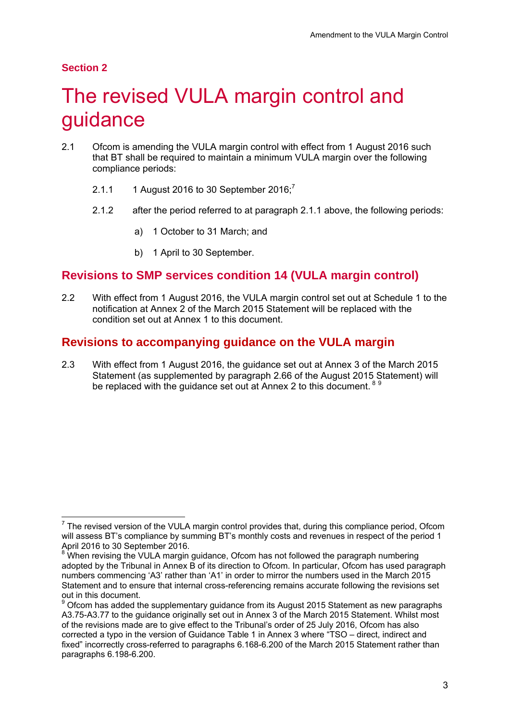## **Section 2**

# The revised VULA margin control and guidance

- 2.1 Ofcom is amending the VULA margin control with effect from 1 August 2016 such that BT shall be required to maintain a minimum VULA margin over the following compliance periods:
	- 2.1.1 1 August 2016 to 30 September  $2016$ ;<sup>7</sup>
	- 2.1.2 after the period referred to at paragraph 2.1.1 above, the following periods:
		- a) 1 October to 31 March; and
		- b) 1 April to 30 September.

# **Revisions to SMP services condition 14 (VULA margin control)**

2.2 With effect from 1 August 2016, the VULA margin control set out at Schedule 1 to the notification at Annex 2 of the March 2015 Statement will be replaced with the condition set out at Annex 1 to this document.

## **Revisions to accompanying guidance on the VULA margin**

2.3 With effect from 1 August 2016, the guidance set out at Annex 3 of the March 2015 Statement (as supplemented by paragraph 2.66 of the August 2015 Statement) will be replaced with the quidance set out at Annex 2 to this document.<sup>89</sup>

 7 The revised version of the VULA margin control provides that, during this compliance period, Ofcom will assess BT's compliance by summing BT's monthly costs and revenues in respect of the period 1 April 2016 to 30 September 2016.

<sup>&</sup>lt;sup>8</sup> When revising the VULA margin guidance, Ofcom has not followed the paragraph numbering adopted by the Tribunal in Annex B of its direction to Ofcom. In particular, Ofcom has used paragraph numbers commencing 'A3' rather than 'A1' in order to mirror the numbers used in the March 2015 Statement and to ensure that internal cross-referencing remains accurate following the revisions set out in this document.

 $9$  Ofcom has added the supplementary guidance from its August 2015 Statement as new paragraphs A3.75-A3.77 to the guidance originally set out in Annex 3 of the March 2015 Statement. Whilst most of the revisions made are to give effect to the Tribunal's order of 25 July 2016, Ofcom has also corrected a typo in the version of Guidance Table 1 in Annex 3 where "TSO – direct, indirect and fixed" incorrectly cross-referred to paragraphs 6.168-6.200 of the March 2015 Statement rather than paragraphs 6.198-6.200.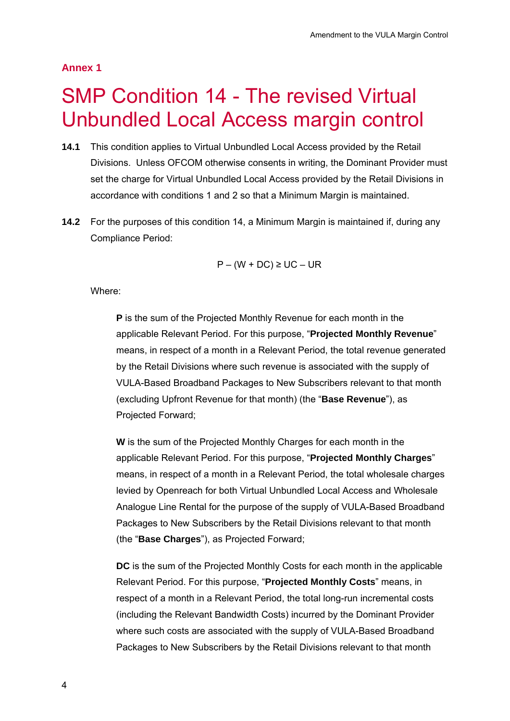## **Annex 1**

# **SMP Condition 14 - The revised Virtual** Unbundled Local Access margin control

- **14.1** This condition applies to Virtual Unbundled Local Access provided by the Retail Divisions. Unless OFCOM otherwise consents in writing, the Dominant Provider must set the charge for Virtual Unbundled Local Access provided by the Retail Divisions in accordance with conditions 1 and 2 so that a Minimum Margin is maintained.
- **14.2** For the purposes of this condition 14, a Minimum Margin is maintained if, during any Compliance Period:

$$
P - (W + DC) \ge UC - UR
$$

Where:

**P** is the sum of the Projected Monthly Revenue for each month in the applicable Relevant Period. For this purpose, "**Projected Monthly Revenue**" means, in respect of a month in a Relevant Period, the total revenue generated by the Retail Divisions where such revenue is associated with the supply of VULA-Based Broadband Packages to New Subscribers relevant to that month (excluding Upfront Revenue for that month) (the "**Base Revenue**"), as Projected Forward;

**W** is the sum of the Projected Monthly Charges for each month in the applicable Relevant Period. For this purpose, "**Projected Monthly Charges**" means, in respect of a month in a Relevant Period, the total wholesale charges levied by Openreach for both Virtual Unbundled Local Access and Wholesale Analogue Line Rental for the purpose of the supply of VULA-Based Broadband Packages to New Subscribers by the Retail Divisions relevant to that month (the "**Base Charges**"), as Projected Forward;

**DC** is the sum of the Projected Monthly Costs for each month in the applicable Relevant Period. For this purpose, "**Projected Monthly Costs**" means, in respect of a month in a Relevant Period, the total long-run incremental costs (including the Relevant Bandwidth Costs) incurred by the Dominant Provider where such costs are associated with the supply of VULA-Based Broadband Packages to New Subscribers by the Retail Divisions relevant to that month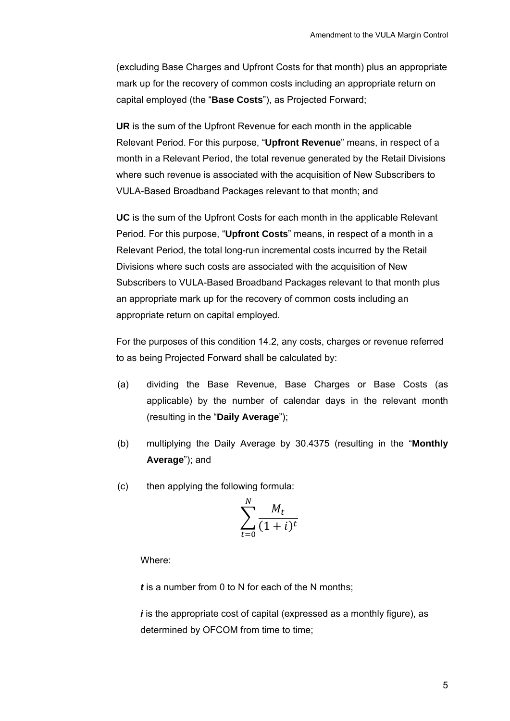(excluding Base Charges and Upfront Costs for that month) plus an appropriate mark up for the recovery of common costs including an appropriate return on capital employed (the "**Base Costs**"), as Projected Forward;

**UR** is the sum of the Upfront Revenue for each month in the applicable Relevant Period. For this purpose, "**Upfront Revenue**" means, in respect of a month in a Relevant Period, the total revenue generated by the Retail Divisions where such revenue is associated with the acquisition of New Subscribers to VULA-Based Broadband Packages relevant to that month; and

**UC** is the sum of the Upfront Costs for each month in the applicable Relevant Period. For this purpose, "**Upfront Costs**" means, in respect of a month in a Relevant Period, the total long-run incremental costs incurred by the Retail Divisions where such costs are associated with the acquisition of New Subscribers to VULA-Based Broadband Packages relevant to that month plus an appropriate mark up for the recovery of common costs including an appropriate return on capital employed.

For the purposes of this condition 14.2, any costs, charges or revenue referred to as being Projected Forward shall be calculated by:

- (a) dividing the Base Revenue, Base Charges or Base Costs (as applicable) by the number of calendar days in the relevant month (resulting in the "**Daily Average**");
- (b) multiplying the Daily Average by 30.4375 (resulting in the "**Monthly Average**"); and
- (c) then applying the following formula:

$$
\sum_{t=0}^{N} \frac{M_t}{(1+i)^t}
$$

Where:

*t* is a number from 0 to N for each of the N months;

*i* is the appropriate cost of capital (expressed as a monthly figure), as determined by OFCOM from time to time;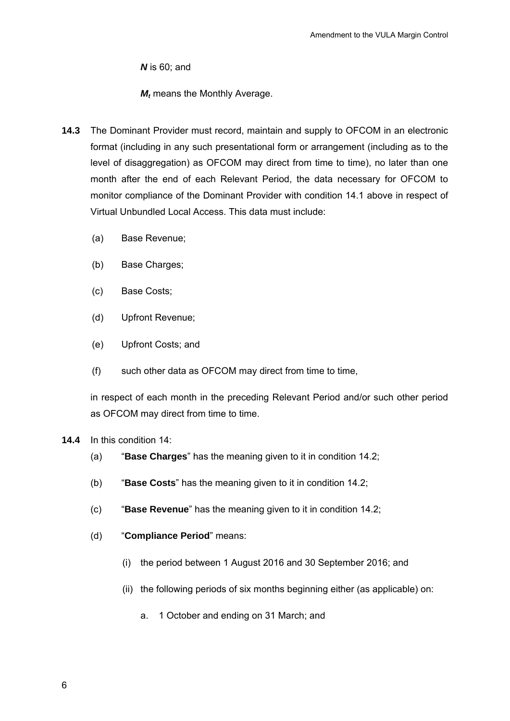*N* is 60; and

*M<sub>t</sub>* means the Monthly Average.

- **14.3** The Dominant Provider must record, maintain and supply to OFCOM in an electronic format (including in any such presentational form or arrangement (including as to the level of disaggregation) as OFCOM may direct from time to time), no later than one month after the end of each Relevant Period, the data necessary for OFCOM to monitor compliance of the Dominant Provider with condition 14.1 above in respect of Virtual Unbundled Local Access. This data must include:
	- (a) Base Revenue;
	- (b) Base Charges;
	- (c) Base Costs;
	- (d) Upfront Revenue;
	- (e) Upfront Costs; and
	- (f) such other data as OFCOM may direct from time to time,

in respect of each month in the preceding Relevant Period and/or such other period as OFCOM may direct from time to time.

- **14.4** In this condition 14:
	- (a) "**Base Charges**" has the meaning given to it in condition 14.2;
	- (b) "**Base Costs**" has the meaning given to it in condition 14.2;
	- (c) "**Base Revenue**" has the meaning given to it in condition 14.2;
	- (d) "**Compliance Period**" means:
		- (i) the period between 1 August 2016 and 30 September 2016; and
		- (ii) the following periods of six months beginning either (as applicable) on:
			- a. 1 October and ending on 31 March; and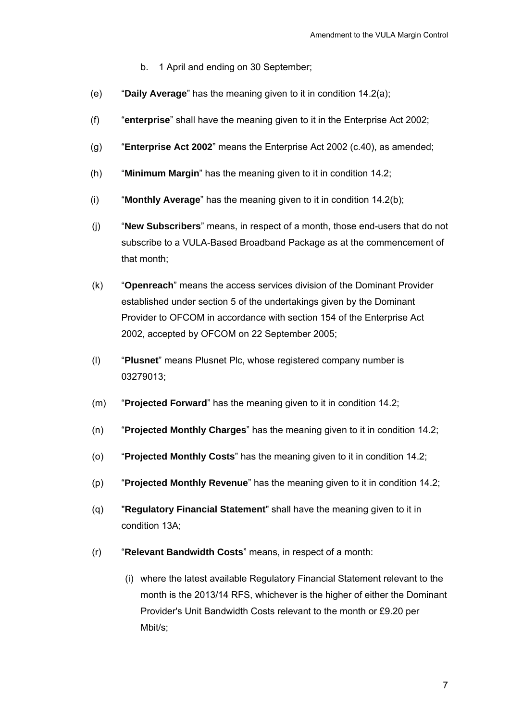- b. 1 April and ending on 30 September;
- (e) "**Daily Average**" has the meaning given to it in condition 14.2(a);
- (f) "**enterprise**" shall have the meaning given to it in the Enterprise Act 2002;
- (g) "**Enterprise Act 2002**" means the Enterprise Act 2002 (c.40), as amended;
- (h) "**Minimum Margin**" has the meaning given to it in condition 14.2;
- (i) "**Monthly Average**" has the meaning given to it in condition 14.2(b);
- (j) "**New Subscribers**" means, in respect of a month, those end-users that do not subscribe to a VULA-Based Broadband Package as at the commencement of that month;
- (k) "**Openreach**" means the access services division of the Dominant Provider established under section 5 of the undertakings given by the Dominant Provider to OFCOM in accordance with section 154 of the Enterprise Act 2002, accepted by OFCOM on 22 September 2005;
- (l) "**Plusnet**" means Plusnet Plc, whose registered company number is 03279013;
- (m) "**Projected Forward**" has the meaning given to it in condition 14.2;
- (n) "**Projected Monthly Charges**" has the meaning given to it in condition 14.2;
- (o) "**Projected Monthly Costs**" has the meaning given to it in condition 14.2;
- (p) "**Projected Monthly Revenue**" has the meaning given to it in condition 14.2;
- (q) "**Regulatory Financial Statement**" shall have the meaning given to it in condition 13A;
- (r) "**Relevant Bandwidth Costs**" means, in respect of a month:
	- (i) where the latest available Regulatory Financial Statement relevant to the month is the 2013/14 RFS, whichever is the higher of either the Dominant Provider's Unit Bandwidth Costs relevant to the month or £9.20 per Mbit/s;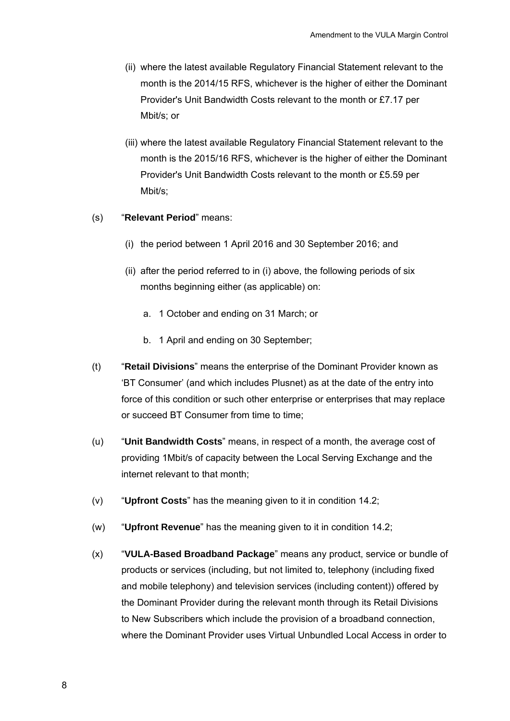- (ii) where the latest available Regulatory Financial Statement relevant to the month is the 2014/15 RFS, whichever is the higher of either the Dominant Provider's Unit Bandwidth Costs relevant to the month or £7.17 per Mbit/s; or
- (iii) where the latest available Regulatory Financial Statement relevant to the month is the 2015/16 RFS, whichever is the higher of either the Dominant Provider's Unit Bandwidth Costs relevant to the month or £5.59 per Mbit/s;

#### (s) "**Relevant Period**" means:

- (i) the period between 1 April 2016 and 30 September 2016; and
- (ii) after the period referred to in (i) above, the following periods of six months beginning either (as applicable) on:
	- a. 1 October and ending on 31 March; or
	- b. 1 April and ending on 30 September;
- (t) "**Retail Divisions**" means the enterprise of the Dominant Provider known as 'BT Consumer' (and which includes Plusnet) as at the date of the entry into force of this condition or such other enterprise or enterprises that may replace or succeed BT Consumer from time to time;
- (u) "**Unit Bandwidth Costs**" means, in respect of a month, the average cost of providing 1Mbit/s of capacity between the Local Serving Exchange and the internet relevant to that month;
- (v) "**Upfront Costs**" has the meaning given to it in condition 14.2;
- (w) "**Upfront Revenue**" has the meaning given to it in condition 14.2;
- (x) "**VULA-Based Broadband Package**" means any product, service or bundle of products or services (including, but not limited to, telephony (including fixed and mobile telephony) and television services (including content)) offered by the Dominant Provider during the relevant month through its Retail Divisions to New Subscribers which include the provision of a broadband connection, where the Dominant Provider uses Virtual Unbundled Local Access in order to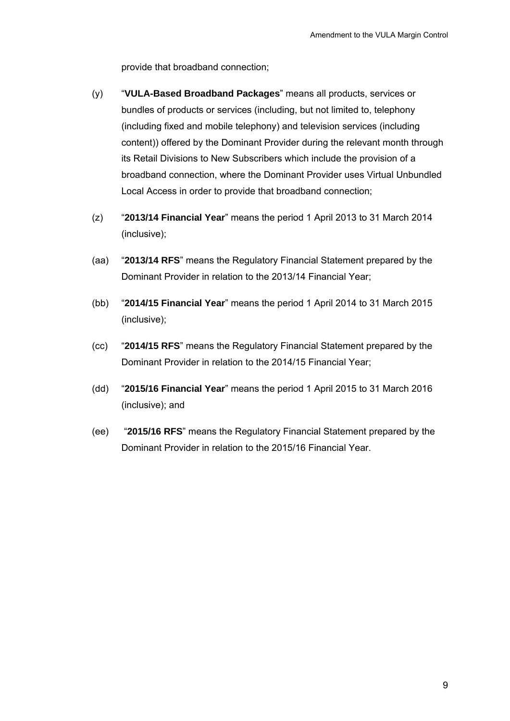provide that broadband connection;

- (y) "**VULA-Based Broadband Packages**" means all products, services or bundles of products or services (including, but not limited to, telephony (including fixed and mobile telephony) and television services (including content)) offered by the Dominant Provider during the relevant month through its Retail Divisions to New Subscribers which include the provision of a broadband connection, where the Dominant Provider uses Virtual Unbundled Local Access in order to provide that broadband connection;
- (z) "**2013/14 Financial Year**" means the period 1 April 2013 to 31 March 2014 (inclusive);
- (aa) "**2013/14 RFS**" means the Regulatory Financial Statement prepared by the Dominant Provider in relation to the 2013/14 Financial Year;
- (bb) "**2014/15 Financial Year**" means the period 1 April 2014 to 31 March 2015 (inclusive);
- (cc) "**2014/15 RFS**" means the Regulatory Financial Statement prepared by the Dominant Provider in relation to the 2014/15 Financial Year;
- (dd) "**2015/16 Financial Year**" means the period 1 April 2015 to 31 March 2016 (inclusive); and
- (ee) "**2015/16 RFS**" means the Regulatory Financial Statement prepared by the Dominant Provider in relation to the 2015/16 Financial Year.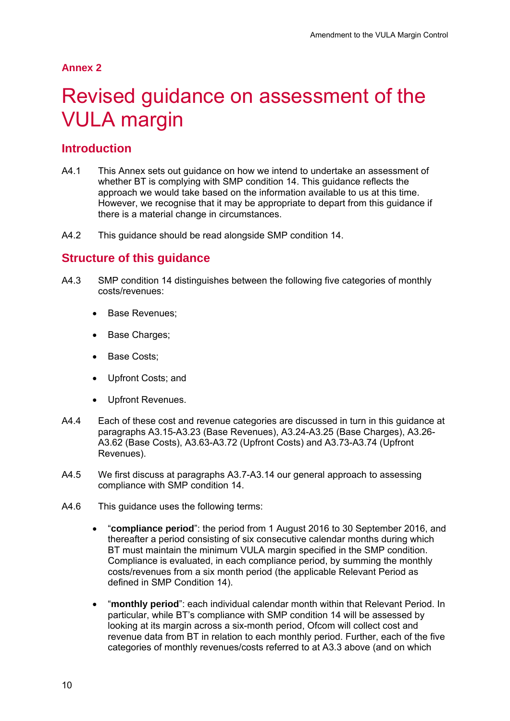#### **Annex 2**

# Revised guidance on assessment of the VULA margin

## **Introduction**

- A4.1 This Annex sets out guidance on how we intend to undertake an assessment of whether BT is complying with SMP condition 14. This guidance reflects the approach we would take based on the information available to us at this time. However, we recognise that it may be appropriate to depart from this guidance if there is a material change in circumstances.
- A4.2 This guidance should be read alongside SMP condition 14.

## **Structure of this guidance**

- A4.3 SMP condition 14 distinguishes between the following five categories of monthly costs/revenues:
	- Base Revenues:
	- Base Charges:
	- Base Costs;
	- Upfront Costs; and
	- Upfront Revenues.
- A4.4 Each of these cost and revenue categories are discussed in turn in this guidance at paragraphs A3.15-A3.23 (Base Revenues), A3.24-A3.25 (Base Charges), A3.26- A3.62 (Base Costs), A3.63-A3.72 (Upfront Costs) and A3.73-A3.74 (Upfront Revenues).
- A4.5 We first discuss at paragraphs A3.7-A3.14 our general approach to assessing compliance with SMP condition 14.
- A4.6 This guidance uses the following terms:
	- "**compliance period**": the period from 1 August 2016 to 30 September 2016, and thereafter a period consisting of six consecutive calendar months during which BT must maintain the minimum VULA margin specified in the SMP condition. Compliance is evaluated, in each compliance period, by summing the monthly costs/revenues from a six month period (the applicable Relevant Period as defined in SMP Condition 14).
	- "**monthly period**": each individual calendar month within that Relevant Period. In particular, while BT's compliance with SMP condition 14 will be assessed by looking at its margin across a six-month period, Ofcom will collect cost and revenue data from BT in relation to each monthly period. Further, each of the five categories of monthly revenues/costs referred to at A3.3 above (and on which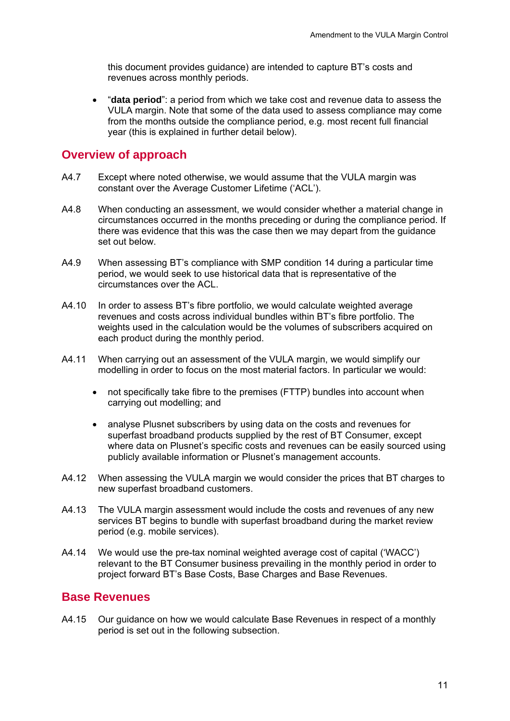this document provides guidance) are intended to capture BT's costs and revenues across monthly periods.

 "**data period**": a period from which we take cost and revenue data to assess the VULA margin. Note that some of the data used to assess compliance may come from the months outside the compliance period, e.g. most recent full financial year (this is explained in further detail below).

### **Overview of approach**

- A4.7 Except where noted otherwise, we would assume that the VULA margin was constant over the Average Customer Lifetime ('ACL').
- A4.8 When conducting an assessment, we would consider whether a material change in circumstances occurred in the months preceding or during the compliance period. If there was evidence that this was the case then we may depart from the guidance set out below.
- A4.9 When assessing BT's compliance with SMP condition 14 during a particular time period, we would seek to use historical data that is representative of the circumstances over the ACL.
- A4.10 In order to assess BT's fibre portfolio, we would calculate weighted average revenues and costs across individual bundles within BT's fibre portfolio. The weights used in the calculation would be the volumes of subscribers acquired on each product during the monthly period.
- A4.11 When carrying out an assessment of the VULA margin, we would simplify our modelling in order to focus on the most material factors. In particular we would:
	- not specifically take fibre to the premises (FTTP) bundles into account when carrying out modelling; and
	- analyse Plusnet subscribers by using data on the costs and revenues for superfast broadband products supplied by the rest of BT Consumer, except where data on Plusnet's specific costs and revenues can be easily sourced using publicly available information or Plusnet's management accounts.
- A4.12 When assessing the VULA margin we would consider the prices that BT charges to new superfast broadband customers.
- A4.13 The VULA margin assessment would include the costs and revenues of any new services BT begins to bundle with superfast broadband during the market review period (e.g. mobile services).
- A4.14 We would use the pre-tax nominal weighted average cost of capital ('WACC') relevant to the BT Consumer business prevailing in the monthly period in order to project forward BT's Base Costs, Base Charges and Base Revenues.

# **Base Revenues**

A4.15 Our guidance on how we would calculate Base Revenues in respect of a monthly period is set out in the following subsection.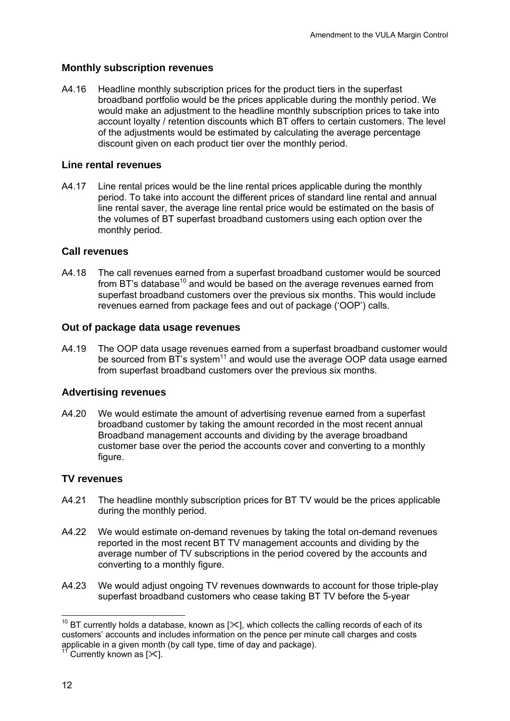### **Monthly subscription revenues**

A4.16 Headline monthly subscription prices for the product tiers in the superfast broadband portfolio would be the prices applicable during the monthly period. We would make an adjustment to the headline monthly subscription prices to take into account loyalty / retention discounts which BT offers to certain customers. The level of the adjustments would be estimated by calculating the average percentage discount given on each product tier over the monthly period.

### **Line rental revenues**

A4.17 Line rental prices would be the line rental prices applicable during the monthly period. To take into account the different prices of standard line rental and annual line rental saver, the average line rental price would be estimated on the basis of the volumes of BT superfast broadband customers using each option over the monthly period.

## **Call revenues**

A4.18 The call revenues earned from a superfast broadband customer would be sourced from BT's database<sup>10</sup> and would be based on the average revenues earned from superfast broadband customers over the previous six months. This would include revenues earned from package fees and out of package ('OOP') calls.

#### **Out of package data usage revenues**

A4.19 The OOP data usage revenues earned from a superfast broadband customer would be sourced from  $BT$ 's system<sup>11</sup> and would use the average OOP data usage earned from superfast broadband customers over the previous six months.

#### **Advertising revenues**

A4.20 We would estimate the amount of advertising revenue earned from a superfast broadband customer by taking the amount recorded in the most recent annual Broadband management accounts and dividing by the average broadband customer base over the period the accounts cover and converting to a monthly figure.

## **TV revenues**

- A4.21 The headline monthly subscription prices for BT TV would be the prices applicable during the monthly period.
- A4.22 We would estimate on-demand revenues by taking the total on-demand revenues reported in the most recent BT TV management accounts and dividing by the average number of TV subscriptions in the period covered by the accounts and converting to a monthly figure.
- A4.23 We would adjust ongoing TV revenues downwards to account for those triple-play superfast broadband customers who cease taking BT TV before the 5-year

 $\overline{a}$ <sup>10</sup> BT currently holds a database, known as [ $\mathbb{X}$ ], which collects the calling records of each of its customers' accounts and includes information on the pence per minute call charges and costs applicable in a given month (by call type, time of day and package).

 $\int$  Currently known as  $[\times]$ .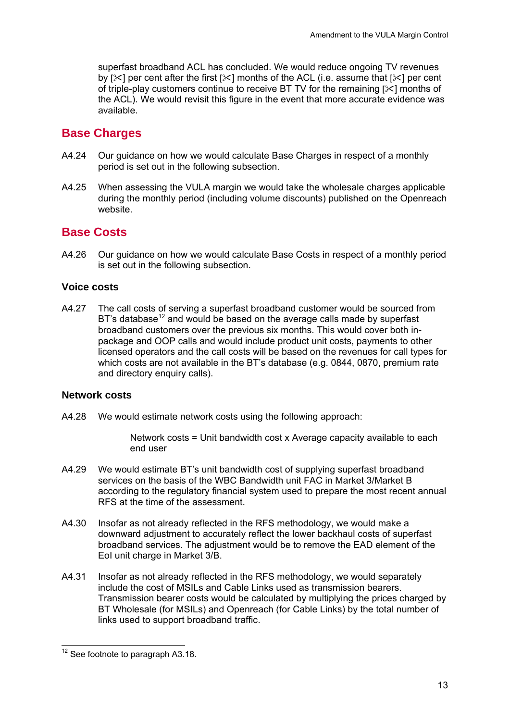superfast broadband ACL has concluded. We would reduce ongoing TV revenues by  $[3]$  per cent after the first  $[3]$  months of the ACL (i.e. assume that  $[3]$  per cent of triple-play customers continue to receive BT TV for the remaining  $[\times]$  months of the ACL). We would revisit this figure in the event that more accurate evidence was available.

# **Base Charges**

- A4.24 Our guidance on how we would calculate Base Charges in respect of a monthly period is set out in the following subsection.
- A4.25 When assessing the VULA margin we would take the wholesale charges applicable during the monthly period (including volume discounts) published on the Openreach website.

# **Base Costs**

A4.26 Our guidance on how we would calculate Base Costs in respect of a monthly period is set out in the following subsection.

#### **Voice costs**

A4.27 The call costs of serving a superfast broadband customer would be sourced from  $BT$ 's database<sup>12</sup> and would be based on the average calls made by superfast broadband customers over the previous six months. This would cover both inpackage and OOP calls and would include product unit costs, payments to other licensed operators and the call costs will be based on the revenues for call types for which costs are not available in the BT's database (e.g. 0844, 0870, premium rate and directory enquiry calls).

#### **Network costs**

A4.28 We would estimate network costs using the following approach:

 Network costs = Unit bandwidth cost x Average capacity available to each end user

- A4.29 We would estimate BT's unit bandwidth cost of supplying superfast broadband services on the basis of the WBC Bandwidth unit FAC in Market 3/Market B according to the regulatory financial system used to prepare the most recent annual RFS at the time of the assessment.
- A4.30 Insofar as not already reflected in the RFS methodology, we would make a downward adjustment to accurately reflect the lower backhaul costs of superfast broadband services. The adjustment would be to remove the EAD element of the EoI unit charge in Market 3/B.
- A4.31 Insofar as not already reflected in the RFS methodology, we would separately include the cost of MSILs and Cable Links used as transmission bearers. Transmission bearer costs would be calculated by multiplying the prices charged by BT Wholesale (for MSILs) and Openreach (for Cable Links) by the total number of links used to support broadband traffic.

 $\overline{a}$  $12$  See footnote to paragraph A3.18.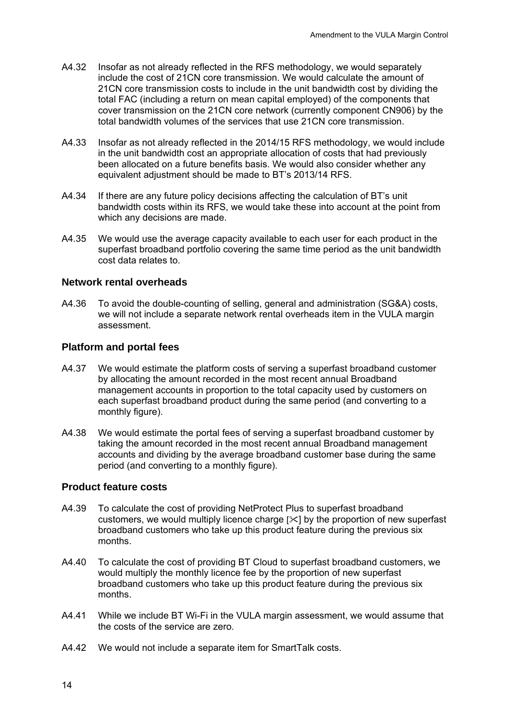- A4.32 Insofar as not already reflected in the RFS methodology, we would separately include the cost of 21CN core transmission. We would calculate the amount of 21CN core transmission costs to include in the unit bandwidth cost by dividing the total FAC (including a return on mean capital employed) of the components that cover transmission on the 21CN core network (currently component CN906) by the total bandwidth volumes of the services that use 21CN core transmission.
- A4.33 Insofar as not already reflected in the 2014/15 RFS methodology, we would include in the unit bandwidth cost an appropriate allocation of costs that had previously been allocated on a future benefits basis. We would also consider whether any equivalent adjustment should be made to BT's 2013/14 RFS.
- A4.34 If there are any future policy decisions affecting the calculation of BT's unit bandwidth costs within its RFS, we would take these into account at the point from which any decisions are made.
- A4.35 We would use the average capacity available to each user for each product in the superfast broadband portfolio covering the same time period as the unit bandwidth cost data relates to.

#### **Network rental overheads**

A4.36 To avoid the double-counting of selling, general and administration (SG&A) costs, we will not include a separate network rental overheads item in the VULA margin assessment.

#### **Platform and portal fees**

- A4.37 We would estimate the platform costs of serving a superfast broadband customer by allocating the amount recorded in the most recent annual Broadband management accounts in proportion to the total capacity used by customers on each superfast broadband product during the same period (and converting to a monthly figure).
- A4.38 We would estimate the portal fees of serving a superfast broadband customer by taking the amount recorded in the most recent annual Broadband management accounts and dividing by the average broadband customer base during the same period (and converting to a monthly figure).

#### **Product feature costs**

- A4.39 To calculate the cost of providing NetProtect Plus to superfast broadband customers, we would multiply licence charge  $[\times]$  by the proportion of new superfast broadband customers who take up this product feature during the previous six months.
- A4.40 To calculate the cost of providing BT Cloud to superfast broadband customers, we would multiply the monthly licence fee by the proportion of new superfast broadband customers who take up this product feature during the previous six months.
- A4.41 While we include BT Wi-Fi in the VULA margin assessment, we would assume that the costs of the service are zero.
- A4.42 We would not include a separate item for SmartTalk costs.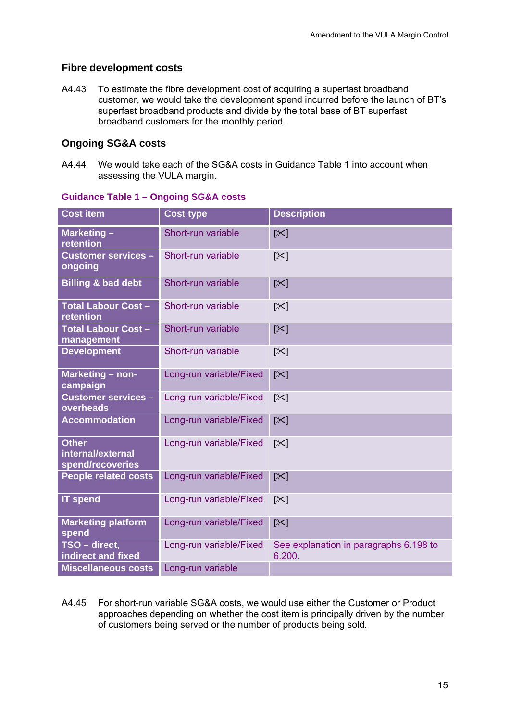## **Fibre development costs**

A4.43 To estimate the fibre development cost of acquiring a superfast broadband customer, we would take the development spend incurred before the launch of BT's superfast broadband products and divide by the total base of BT superfast broadband customers for the monthly period.

### **Ongoing SG&A costs**

A4.44 We would take each of the SG&A costs in Guidance Table 1 into account when assessing the VULA margin.

| <b>Cost item</b>                                      | <b>Cost type</b>        | <b>Description</b>                               |
|-------------------------------------------------------|-------------------------|--------------------------------------------------|
| Marketing -<br>retention                              | Short-run variable      | $[\times]$                                       |
| <b>Customer services -</b><br>ongoing                 | Short-run variable      | $\left[\times\right]$                            |
| <b>Billing &amp; bad debt</b>                         | Short-run variable      | $[\times]$                                       |
| <b>Total Labour Cost -</b><br>retention               | Short-run variable      | $[\times]$                                       |
| <b>Total Labour Cost -</b><br>management              | Short-run variable      | $[\times]$                                       |
| <b>Development</b>                                    | Short-run variable      | $\left[\times\right]$                            |
| Marketing - non-<br>campaign                          | Long-run variable/Fixed | $[\times]$                                       |
| <b>Customer services -</b><br>overheads               | Long-run variable/Fixed | $[\times]$                                       |
| <b>Accommodation</b>                                  | Long-run variable/Fixed | $[\times]$                                       |
| <b>Other</b><br>internal/external<br>spend/recoveries | Long-run variable/Fixed | $\left[\times\right]$                            |
| <b>People related costs</b>                           | Long-run variable/Fixed | $[\times]$                                       |
| <b>IT spend</b>                                       | Long-run variable/Fixed | $\left[\infty\right]$                            |
| <b>Marketing platform</b><br>spend                    | Long-run variable/Fixed | $[\times]$                                       |
| TSO - direct,<br>indirect and fixed                   | Long-run variable/Fixed | See explanation in paragraphs 6.198 to<br>6.200. |
| <b>Miscellaneous costs</b>                            | Long-run variable       |                                                  |

#### **Guidance Table 1 – Ongoing SG&A costs**

A4.45 For short-run variable SG&A costs, we would use either the Customer or Product approaches depending on whether the cost item is principally driven by the number of customers being served or the number of products being sold.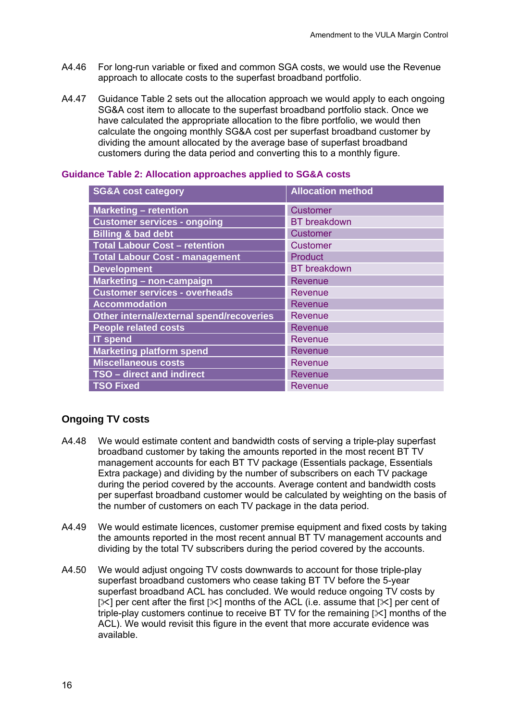- A4.46 For long-run variable or fixed and common SGA costs, we would use the Revenue approach to allocate costs to the superfast broadband portfolio.
- A4.47 Guidance Table 2 sets out the allocation approach we would apply to each ongoing SG&A cost item to allocate to the superfast broadband portfolio stack. Once we have calculated the appropriate allocation to the fibre portfolio, we would then calculate the ongoing monthly SG&A cost per superfast broadband customer by dividing the amount allocated by the average base of superfast broadband customers during the data period and converting this to a monthly figure.

| <b>SG&amp;A cost category</b>            | <b>Allocation method</b> |
|------------------------------------------|--------------------------|
| <b>Marketing - retention</b>             | <b>Customer</b>          |
| <b>Customer services - ongoing</b>       | <b>BT</b> breakdown      |
| <b>Billing &amp; bad debt</b>            | <b>Customer</b>          |
| <b>Total Labour Cost - retention</b>     | <b>Customer</b>          |
| <b>Total Labour Cost - management</b>    | Product                  |
| <b>Development</b>                       | <b>BT</b> breakdown      |
| Marketing - non-campaign                 | <b>Revenue</b>           |
| <b>Customer services - overheads</b>     | Revenue                  |
| <b>Accommodation</b>                     | Revenue                  |
| Other internal/external spend/recoveries | Revenue                  |
| <b>People related costs</b>              | <b>Revenue</b>           |
| <b>IT spend</b>                          | <b>Revenue</b>           |
| <b>Marketing platform spend</b>          | Revenue                  |
| <b>Miscellaneous costs</b>               | Revenue                  |
| TSO - direct and indirect                | <b>Revenue</b>           |
| <b>TSO Fixed</b>                         | Revenue                  |

#### **Guidance Table 2: Allocation approaches applied to SG&A costs**

## **Ongoing TV costs**

- A4.48 We would estimate content and bandwidth costs of serving a triple-play superfast broadband customer by taking the amounts reported in the most recent BT TV management accounts for each BT TV package (Essentials package, Essentials Extra package) and dividing by the number of subscribers on each TV package during the period covered by the accounts. Average content and bandwidth costs per superfast broadband customer would be calculated by weighting on the basis of the number of customers on each TV package in the data period.
- A4.49 We would estimate licences, customer premise equipment and fixed costs by taking the amounts reported in the most recent annual BT TV management accounts and dividing by the total TV subscribers during the period covered by the accounts.
- A4.50 We would adjust ongoing TV costs downwards to account for those triple-play superfast broadband customers who cease taking BT TV before the 5-year superfast broadband ACL has concluded. We would reduce ongoing TV costs by  $[\times]$  per cent after the first  $[\times]$  months of the ACL (i.e. assume that  $[\times]$  per cent of triple-play customers continue to receive BT TV for the remaining  $[3]$  months of the ACL). We would revisit this figure in the event that more accurate evidence was available.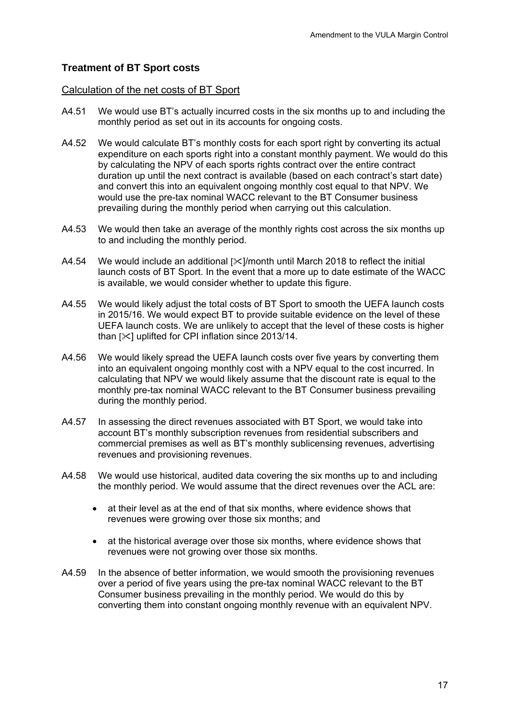## **Treatment of BT Sport costs**

#### Calculation of the net costs of BT Sport

- A4.51 We would use BT's actually incurred costs in the six months up to and including the monthly period as set out in its accounts for ongoing costs.
- A4.52 We would calculate BT's monthly costs for each sport right by converting its actual expenditure on each sports right into a constant monthly payment. We would do this by calculating the NPV of each sports rights contract over the entire contract duration up until the next contract is available (based on each contract's start date) and convert this into an equivalent ongoing monthly cost equal to that NPV. We would use the pre-tax nominal WACC relevant to the BT Consumer business prevailing during the monthly period when carrying out this calculation.
- A4.53 We would then take an average of the monthly rights cost across the six months up to and including the monthly period.
- A4.54 We would include an additional  $[\times]$ /month until March 2018 to reflect the initial launch costs of BT Sport. In the event that a more up to date estimate of the WACC is available, we would consider whether to update this figure.
- A4.55 We would likely adjust the total costs of BT Sport to smooth the UEFA launch costs in 2015/16. We would expect BT to provide suitable evidence on the level of these UEFA launch costs. We are unlikely to accept that the level of these costs is higher than  $[\times]$  uplifted for CPI inflation since 2013/14.
- A4.56 We would likely spread the UEFA launch costs over five years by converting them into an equivalent ongoing monthly cost with a NPV equal to the cost incurred. In calculating that NPV we would likely assume that the discount rate is equal to the monthly pre-tax nominal WACC relevant to the BT Consumer business prevailing during the monthly period.
- A4.57 In assessing the direct revenues associated with BT Sport, we would take into account BT's monthly subscription revenues from residential subscribers and commercial premises as well as BT's monthly sublicensing revenues, advertising revenues and provisioning revenues.
- A4.58 We would use historical, audited data covering the six months up to and including the monthly period. We would assume that the direct revenues over the ACL are:
	- at their level as at the end of that six months, where evidence shows that revenues were growing over those six months; and
	- at the historical average over those six months, where evidence shows that revenues were not growing over those six months.
- A4.59 In the absence of better information, we would smooth the provisioning revenues over a period of five years using the pre-tax nominal WACC relevant to the BT Consumer business prevailing in the monthly period. We would do this by converting them into constant ongoing monthly revenue with an equivalent NPV.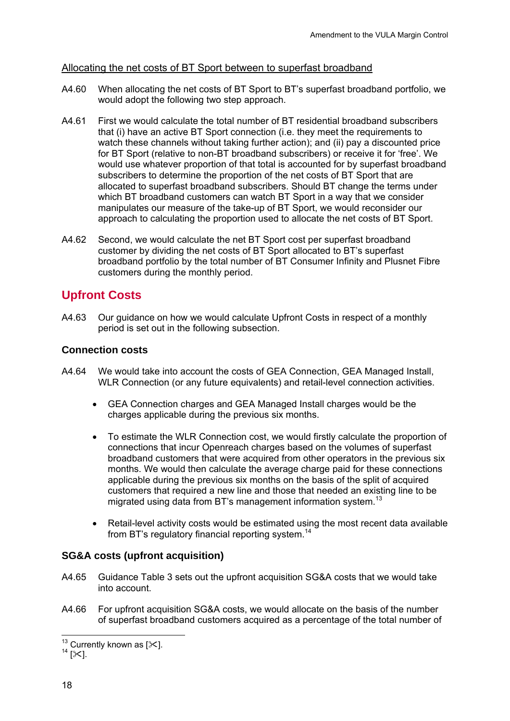#### Allocating the net costs of BT Sport between to superfast broadband

- A4.60 When allocating the net costs of BT Sport to BT's superfast broadband portfolio, we would adopt the following two step approach.
- A4.61 First we would calculate the total number of BT residential broadband subscribers that (i) have an active BT Sport connection (i.e. they meet the requirements to watch these channels without taking further action); and (ii) pay a discounted price for BT Sport (relative to non-BT broadband subscribers) or receive it for 'free'. We would use whatever proportion of that total is accounted for by superfast broadband subscribers to determine the proportion of the net costs of BT Sport that are allocated to superfast broadband subscribers. Should BT change the terms under which BT broadband customers can watch BT Sport in a way that we consider manipulates our measure of the take-up of BT Sport, we would reconsider our approach to calculating the proportion used to allocate the net costs of BT Sport.
- A4.62 Second, we would calculate the net BT Sport cost per superfast broadband customer by dividing the net costs of BT Sport allocated to BT's superfast broadband portfolio by the total number of BT Consumer Infinity and Plusnet Fibre customers during the monthly period.

# **Upfront Costs**

A4.63 Our guidance on how we would calculate Upfront Costs in respect of a monthly period is set out in the following subsection.

#### **Connection costs**

- A4.64 We would take into account the costs of GEA Connection, GEA Managed Install, WLR Connection (or any future equivalents) and retail-level connection activities.
	- GEA Connection charges and GEA Managed Install charges would be the charges applicable during the previous six months.
	- To estimate the WLR Connection cost, we would firstly calculate the proportion of connections that incur Openreach charges based on the volumes of superfast broadband customers that were acquired from other operators in the previous six months. We would then calculate the average charge paid for these connections applicable during the previous six months on the basis of the split of acquired customers that required a new line and those that needed an existing line to be migrated using data from BT's management information system.<sup>13</sup>
	- Retail-level activity costs would be estimated using the most recent data available from BT's regulatory financial reporting system.14

#### **SG&A costs (upfront acquisition)**

- A4.65 Guidance Table 3 sets out the upfront acquisition SG&A costs that we would take into account.
- A4.66 For upfront acquisition SG&A costs, we would allocate on the basis of the number of superfast broadband customers acquired as a percentage of the total number of

<sup>1</sup> <sup>13</sup> Currently known as [ $\ll$ ].<br><sup>14</sup> [ $\ll$ ].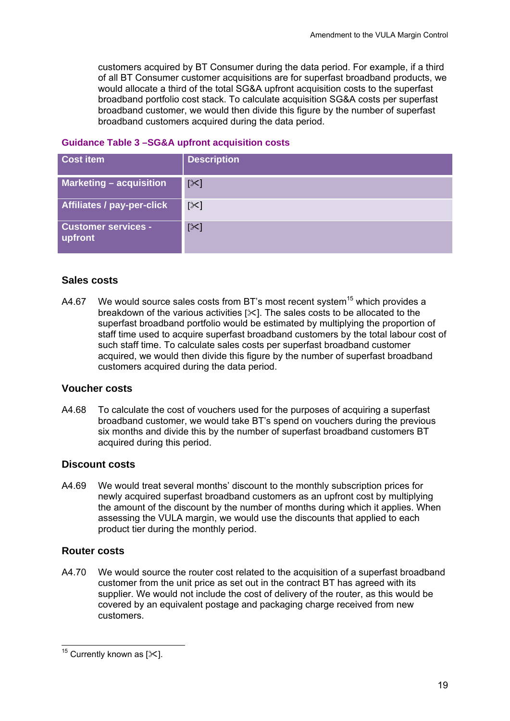customers acquired by BT Consumer during the data period. For example, if a third of all BT Consumer customer acquisitions are for superfast broadband products, we would allocate a third of the total SG&A upfront acquisition costs to the superfast broadband portfolio cost stack. To calculate acquisition SG&A costs per superfast broadband customer, we would then divide this figure by the number of superfast broadband customers acquired during the data period.

#### **Guidance Table 3 –SG&A upfront acquisition costs**

| <b>Cost item</b>                      | <b>Description</b> |
|---------------------------------------|--------------------|
| <b>Marketing - acquisition</b>        | $[\times]$         |
| Affiliates / pay-per-click            | $[\times]$         |
| <b>Customer services -</b><br>upfront | $[\times]$         |

#### **Sales costs**

A4.67 We would source sales costs from BT's most recent system<sup>15</sup> which provides a breakdown of the various activities  $[\times]$ . The sales costs to be allocated to the superfast broadband portfolio would be estimated by multiplying the proportion of staff time used to acquire superfast broadband customers by the total labour cost of such staff time. To calculate sales costs per superfast broadband customer acquired, we would then divide this figure by the number of superfast broadband customers acquired during the data period.

#### **Voucher costs**

A4.68 To calculate the cost of vouchers used for the purposes of acquiring a superfast broadband customer, we would take BT's spend on vouchers during the previous six months and divide this by the number of superfast broadband customers BT acquired during this period.

#### **Discount costs**

A4.69 We would treat several months' discount to the monthly subscription prices for newly acquired superfast broadband customers as an upfront cost by multiplying the amount of the discount by the number of months during which it applies. When assessing the VULA margin, we would use the discounts that applied to each product tier during the monthly period.

#### **Router costs**

A4.70 We would source the router cost related to the acquisition of a superfast broadband customer from the unit price as set out in the contract BT has agreed with its supplier. We would not include the cost of delivery of the router, as this would be covered by an equivalent postage and packaging charge received from new customers.

 $\overline{a}$ <sup>15</sup> Currently known as  $[\times]$ .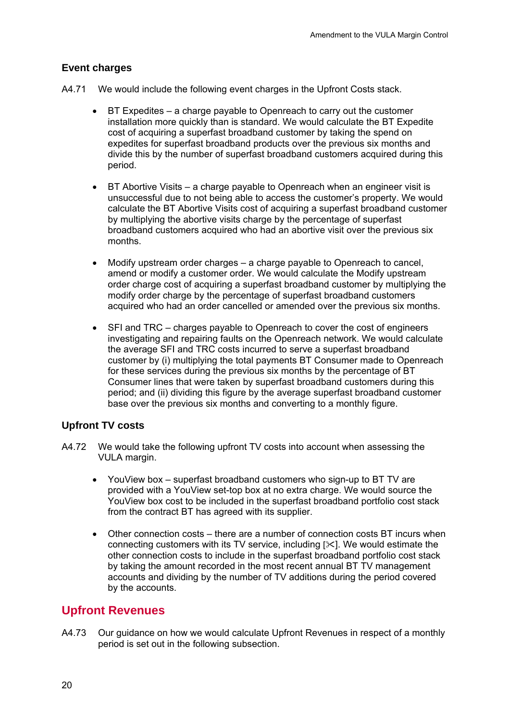## **Event charges**

- A4.71 We would include the following event charges in the Upfront Costs stack.
	- BT Expedites a charge payable to Openreach to carry out the customer installation more quickly than is standard. We would calculate the BT Expedite cost of acquiring a superfast broadband customer by taking the spend on expedites for superfast broadband products over the previous six months and divide this by the number of superfast broadband customers acquired during this period.
	- BT Abortive Visits a charge payable to Openreach when an engineer visit is unsuccessful due to not being able to access the customer's property. We would calculate the BT Abortive Visits cost of acquiring a superfast broadband customer by multiplying the abortive visits charge by the percentage of superfast broadband customers acquired who had an abortive visit over the previous six months.
	- Modify upstream order charges a charge payable to Openreach to cancel, amend or modify a customer order. We would calculate the Modify upstream order charge cost of acquiring a superfast broadband customer by multiplying the modify order charge by the percentage of superfast broadband customers acquired who had an order cancelled or amended over the previous six months.
	- SFI and TRC charges payable to Openreach to cover the cost of engineers investigating and repairing faults on the Openreach network. We would calculate the average SFI and TRC costs incurred to serve a superfast broadband customer by (i) multiplying the total payments BT Consumer made to Openreach for these services during the previous six months by the percentage of BT Consumer lines that were taken by superfast broadband customers during this period; and (ii) dividing this figure by the average superfast broadband customer base over the previous six months and converting to a monthly figure.

#### **Upfront TV costs**

- A4.72 We would take the following upfront TV costs into account when assessing the VULA margin.
	- YouView box superfast broadband customers who sign-up to BT TV are provided with a YouView set-top box at no extra charge. We would source the YouView box cost to be included in the superfast broadband portfolio cost stack from the contract BT has agreed with its supplier.
	- Other connection costs there are a number of connection costs BT incurs when connecting customers with its TV service, including  $[\times]$ . We would estimate the other connection costs to include in the superfast broadband portfolio cost stack by taking the amount recorded in the most recent annual BT TV management accounts and dividing by the number of TV additions during the period covered by the accounts.

# **Upfront Revenues**

A4.73 Our guidance on how we would calculate Upfront Revenues in respect of a monthly period is set out in the following subsection.